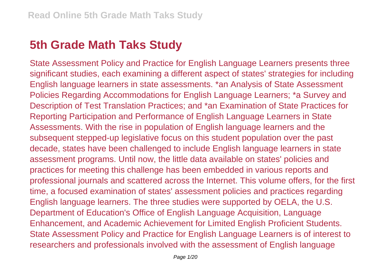## **5th Grade Math Taks Study**

State Assessment Policy and Practice for English Language Learners presents three significant studies, each examining a different aspect of states' strategies for including English language learners in state assessments. \*an Analysis of State Assessment Policies Regarding Accommodations for English Language Learners; \*a Survey and Description of Test Translation Practices; and \*an Examination of State Practices for Reporting Participation and Performance of English Language Learners in State Assessments. With the rise in population of English language learners and the subsequent stepped-up legislative focus on this student population over the past decade, states have been challenged to include English language learners in state assessment programs. Until now, the little data available on states' policies and practices for meeting this challenge has been embedded in various reports and professional journals and scattered across the Internet. This volume offers, for the first time, a focused examination of states' assessment policies and practices regarding English language learners. The three studies were supported by OELA, the U.S. Department of Education's Office of English Language Acquisition, Language Enhancement, and Academic Achievement for Limited English Proficient Students. State Assessment Policy and Practice for English Language Learners is of interest to researchers and professionals involved with the assessment of English language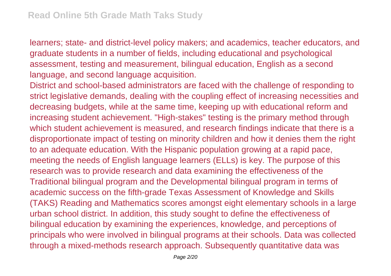learners; state- and district-level policy makers; and academics, teacher educators, and graduate students in a number of fields, including educational and psychological assessment, testing and measurement, bilingual education, English as a second language, and second language acquisition.

District and school-based administrators are faced with the challenge of responding to strict legislative demands, dealing with the coupling effect of increasing necessities and decreasing budgets, while at the same time, keeping up with educational reform and increasing student achievement. "High-stakes" testing is the primary method through which student achievement is measured, and research findings indicate that there is a disproportionate impact of testing on minority children and how it denies them the right to an adequate education. With the Hispanic population growing at a rapid pace, meeting the needs of English language learners (ELLs) is key. The purpose of this research was to provide research and data examining the effectiveness of the Traditional bilingual program and the Developmental bilingual program in terms of academic success on the fifth-grade Texas Assessment of Knowledge and Skills (TAKS) Reading and Mathematics scores amongst eight elementary schools in a large urban school district. In addition, this study sought to define the effectiveness of bilingual education by examining the experiences, knowledge, and perceptions of principals who were involved in bilingual programs at their schools. Data was collected through a mixed-methods research approach. Subsequently quantitative data was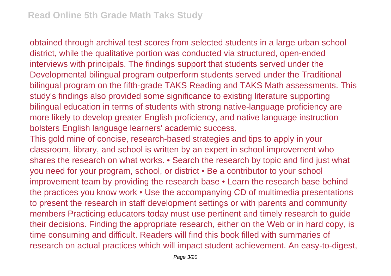obtained through archival test scores from selected students in a large urban school district, while the qualitative portion was conducted via structured, open-ended interviews with principals. The findings support that students served under the Developmental bilingual program outperform students served under the Traditional bilingual program on the fifth-grade TAKS Reading and TAKS Math assessments. This study's findings also provided some significance to existing literature supporting bilingual education in terms of students with strong native-language proficiency are more likely to develop greater English proficiency, and native language instruction bolsters English language learners' academic success.

This gold mine of concise, research-based strategies and tips to apply in your classroom, library, and school is written by an expert in school improvement who shares the research on what works. • Search the research by topic and find just what you need for your program, school, or district • Be a contributor to your school improvement team by providing the research base • Learn the research base behind the practices you know work • Use the accompanying CD of multimedia presentations to present the research in staff development settings or with parents and community members Practicing educators today must use pertinent and timely research to guide their decisions. Finding the appropriate research, either on the Web or in hard copy, is time consuming and difficult. Readers will find this book filled with summaries of research on actual practices which will impact student achievement. An easy-to-digest,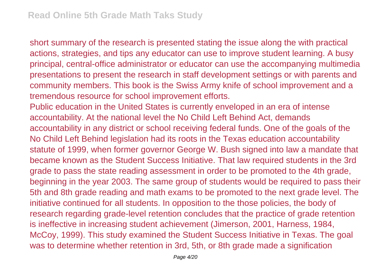short summary of the research is presented stating the issue along the with practical actions, strategies, and tips any educator can use to improve student learning. A busy principal, central-office administrator or educator can use the accompanying multimedia presentations to present the research in staff development settings or with parents and community members. This book is the Swiss Army knife of school improvement and a tremendous resource for school improvement efforts.

Public education in the United States is currently enveloped in an era of intense accountability. At the national level the No Child Left Behind Act, demands accountability in any district or school receiving federal funds. One of the goals of the No Child Left Behind legislation had its roots in the Texas education accountability statute of 1999, when former governor George W. Bush signed into law a mandate that became known as the Student Success Initiative. That law required students in the 3rd grade to pass the state reading assessment in order to be promoted to the 4th grade, beginning in the year 2003. The same group of students would be required to pass their 5th and 8th grade reading and math exams to be promoted to the next grade level. The initiative continued for all students. In opposition to the those policies, the body of research regarding grade-level retention concludes that the practice of grade retention is ineffective in increasing student achievement (Jimerson, 2001, Harness, 1984, McCoy, 1999). This study examined the Student Success Initiative in Texas. The goal was to determine whether retention in 3rd, 5th, or 8th grade made a signification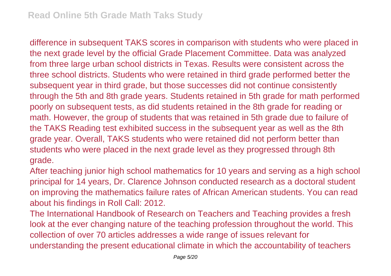difference in subsequent TAKS scores in comparison with students who were placed in the next grade level by the official Grade Placement Committee. Data was analyzed from three large urban school districts in Texas. Results were consistent across the three school districts. Students who were retained in third grade performed better the subsequent year in third grade, but those successes did not continue consistently through the 5th and 8th grade years. Students retained in 5th grade for math performed poorly on subsequent tests, as did students retained in the 8th grade for reading or math. However, the group of students that was retained in 5th grade due to failure of the TAKS Reading test exhibited success in the subsequent year as well as the 8th grade year. Overall, TAKS students who were retained did not perform better than students who were placed in the next grade level as they progressed through 8th grade.

After teaching junior high school mathematics for 10 years and serving as a high school principal for 14 years, Dr. Clarence Johnson conducted research as a doctoral student on improving the mathematics failure rates of African American students. You can read about his findings in Roll Call: 2012.

The International Handbook of Research on Teachers and Teaching provides a fresh look at the ever changing nature of the teaching profession throughout the world. This collection of over 70 articles addresses a wide range of issues relevant for understanding the present educational climate in which the accountability of teachers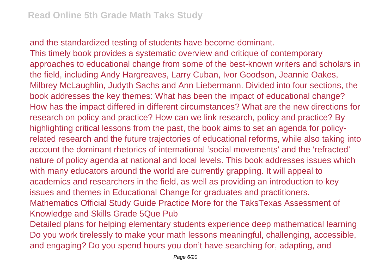and the standardized testing of students have become dominant. This timely book provides a systematic overview and critique of contemporary approaches to educational change from some of the best-known writers and scholars in the field, including Andy Hargreaves, Larry Cuban, Ivor Goodson, Jeannie Oakes, Milbrey McLaughlin, Judyth Sachs and Ann Liebermann. Divided into four sections, the book addresses the key themes: What has been the impact of educational change? How has the impact differed in different circumstances? What are the new directions for research on policy and practice? How can we link research, policy and practice? By highlighting critical lessons from the past, the book aims to set an agenda for policyrelated research and the future trajectories of educational reforms, while also taking into account the dominant rhetorics of international 'social movements' and the 'refracted' nature of policy agenda at national and local levels. This book addresses issues which with many educators around the world are currently grappling. It will appeal to academics and researchers in the field, as well as providing an introduction to key issues and themes in Educational Change for graduates and practitioners. Mathematics Official Study Guide Practice More for the TaksTexas Assessment of Knowledge and Skills Grade 5Que Pub Detailed plans for helping elementary students experience deep mathematical learning Do you work tirelessly to make your math lessons meaningful, challenging, accessible, and engaging? Do you spend hours you don't have searching for, adapting, and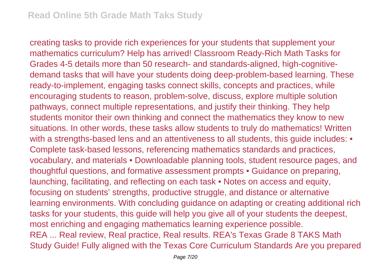creating tasks to provide rich experiences for your students that supplement your mathematics curriculum? Help has arrived! Classroom Ready-Rich Math Tasks for Grades 4-5 details more than 50 research- and standards-aligned, high-cognitivedemand tasks that will have your students doing deep-problem-based learning. These ready-to-implement, engaging tasks connect skills, concepts and practices, while encouraging students to reason, problem-solve, discuss, explore multiple solution pathways, connect multiple representations, and justify their thinking. They help students monitor their own thinking and connect the mathematics they know to new situations. In other words, these tasks allow students to truly do mathematics! Written with a strengths-based lens and an attentiveness to all students, this quide includes: • Complete task-based lessons, referencing mathematics standards and practices, vocabulary, and materials • Downloadable planning tools, student resource pages, and thoughtful questions, and formative assessment prompts • Guidance on preparing, launching, facilitating, and reflecting on each task • Notes on access and equity, focusing on students' strengths, productive struggle, and distance or alternative learning environments. With concluding guidance on adapting or creating additional rich tasks for your students, this guide will help you give all of your students the deepest, most enriching and engaging mathematics learning experience possible. REA ... Real review, Real practice, Real results. REA's Texas Grade 8 TAKS Math Study Guide! Fully aligned with the Texas Core Curriculum Standards Are you prepared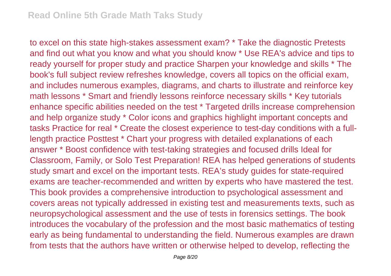to excel on this state high-stakes assessment exam? \* Take the diagnostic Pretests and find out what you know and what you should know \* Use REA's advice and tips to ready yourself for proper study and practice Sharpen your knowledge and skills \* The book's full subject review refreshes knowledge, covers all topics on the official exam, and includes numerous examples, diagrams, and charts to illustrate and reinforce key math lessons \* Smart and friendly lessons reinforce necessary skills \* Key tutorials enhance specific abilities needed on the test \* Targeted drills increase comprehension and help organize study \* Color icons and graphics highlight important concepts and tasks Practice for real \* Create the closest experience to test-day conditions with a fulllength practice Posttest \* Chart your progress with detailed explanations of each answer \* Boost confidence with test-taking strategies and focused drills Ideal for Classroom, Family, or Solo Test Preparation! REA has helped generations of students study smart and excel on the important tests. REA's study guides for state-required exams are teacher-recommended and written by experts who have mastered the test. This book provides a comprehensive introduction to psychological assessment and covers areas not typically addressed in existing test and measurements texts, such as neuropsychological assessment and the use of tests in forensics settings. The book introduces the vocabulary of the profession and the most basic mathematics of testing early as being fundamental to understanding the field. Numerous examples are drawn from tests that the authors have written or otherwise helped to develop, reflecting the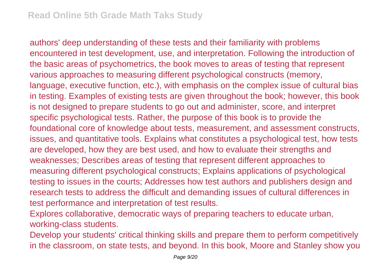authors' deep understanding of these tests and their familiarity with problems encountered in test development, use, and interpretation. Following the introduction of the basic areas of psychometrics, the book moves to areas of testing that represent various approaches to measuring different psychological constructs (memory, language, executive function, etc.), with emphasis on the complex issue of cultural bias in testing. Examples of existing tests are given throughout the book; however, this book is not designed to prepare students to go out and administer, score, and interpret specific psychological tests. Rather, the purpose of this book is to provide the foundational core of knowledge about tests, measurement, and assessment constructs, issues, and quantitative tools. Explains what constitutes a psychological test, how tests are developed, how they are best used, and how to evaluate their strengths and weaknesses; Describes areas of testing that represent different approaches to measuring different psychological constructs; Explains applications of psychological testing to issues in the courts; Addresses how test authors and publishers design and research tests to address the difficult and demanding issues of cultural differences in test performance and interpretation of test results.

Explores collaborative, democratic ways of preparing teachers to educate urban, working-class students.

Develop your students' critical thinking skills and prepare them to perform competitively in the classroom, on state tests, and beyond. In this book, Moore and Stanley show you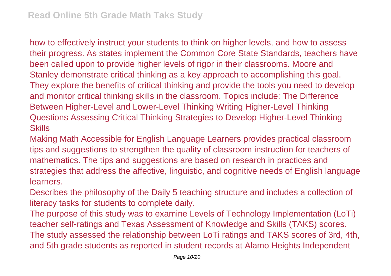how to effectively instruct your students to think on higher levels, and how to assess their progress. As states implement the Common Core State Standards, teachers have been called upon to provide higher levels of rigor in their classrooms. Moore and Stanley demonstrate critical thinking as a key approach to accomplishing this goal. They explore the benefits of critical thinking and provide the tools you need to develop and monitor critical thinking skills in the classroom. Topics include: The Difference Between Higher-Level and Lower-Level Thinking Writing Higher-Level Thinking Questions Assessing Critical Thinking Strategies to Develop Higher-Level Thinking **Skills** 

Making Math Accessible for English Language Learners provides practical classroom tips and suggestions to strengthen the quality of classroom instruction for teachers of mathematics. The tips and suggestions are based on research in practices and strategies that address the affective, linguistic, and cognitive needs of English language learners.

Describes the philosophy of the Daily 5 teaching structure and includes a collection of literacy tasks for students to complete daily.

The purpose of this study was to examine Levels of Technology Implementation (LoTi) teacher self-ratings and Texas Assessment of Knowledge and Skills (TAKS) scores. The study assessed the relationship between LoTi ratings and TAKS scores of 3rd, 4th, and 5th grade students as reported in student records at Alamo Heights Independent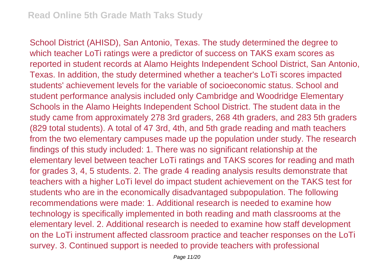School District (AHISD), San Antonio, Texas. The study determined the degree to which teacher LoTi ratings were a predictor of success on TAKS exam scores as reported in student records at Alamo Heights Independent School District, San Antonio, Texas. In addition, the study determined whether a teacher's LoTi scores impacted students' achievement levels for the variable of socioeconomic status. School and student performance analysis included only Cambridge and Woodridge Elementary Schools in the Alamo Heights Independent School District. The student data in the study came from approximately 278 3rd graders, 268 4th graders, and 283 5th graders (829 total students). A total of 47 3rd, 4th, and 5th grade reading and math teachers from the two elementary campuses made up the population under study. The research findings of this study included: 1. There was no significant relationship at the elementary level between teacher LoTi ratings and TAKS scores for reading and math for grades 3, 4, 5 students. 2. The grade 4 reading analysis results demonstrate that teachers with a higher LoTi level do impact student achievement on the TAKS test for students who are in the economically disadvantaged subpopulation. The following recommendations were made: 1. Additional research is needed to examine how technology is specifically implemented in both reading and math classrooms at the elementary level. 2. Additional research is needed to examine how staff development on the LoTi instrument affected classroom practice and teacher responses on the LoTi survey. 3. Continued support is needed to provide teachers with professional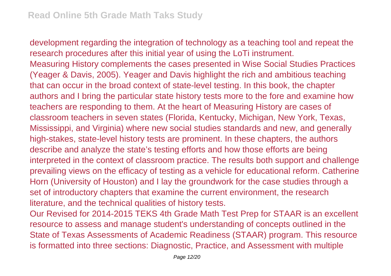development regarding the integration of technology as a teaching tool and repeat the research procedures after this initial year of using the LoTi instrument. Measuring History complements the cases presented in Wise Social Studies Practices (Yeager & Davis, 2005). Yeager and Davis highlight the rich and ambitious teaching that can occur in the broad context of state-level testing. In this book, the chapter authors and I bring the particular state history tests more to the fore and examine how teachers are responding to them. At the heart of Measuring History are cases of classroom teachers in seven states (Florida, Kentucky, Michigan, New York, Texas, Mississippi, and Virginia) where new social studies standards and new, and generally high-stakes, state-level history tests are prominent. In these chapters, the authors describe and analyze the state's testing efforts and how those efforts are being interpreted in the context of classroom practice. The results both support and challenge prevailing views on the efficacy of testing as a vehicle for educational reform. Catherine Horn (University of Houston) and I lay the groundwork for the case studies through a set of introductory chapters that examine the current environment, the research literature, and the technical qualities of history tests.

Our Revised for 2014-2015 TEKS 4th Grade Math Test Prep for STAAR is an excellent resource to assess and manage student's understanding of concepts outlined in the State of Texas Assessments of Academic Readiness (STAAR) program. This resource is formatted into three sections: Diagnostic, Practice, and Assessment with multiple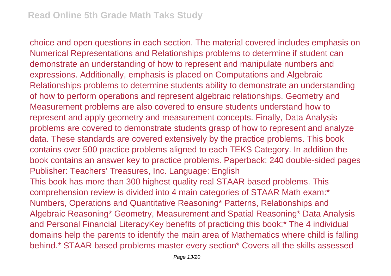choice and open questions in each section. The material covered includes emphasis on Numerical Representations and Relationships problems to determine if student can demonstrate an understanding of how to represent and manipulate numbers and expressions. Additionally, emphasis is placed on Computations and Algebraic Relationships problems to determine students ability to demonstrate an understanding of how to perform operations and represent algebraic relationships. Geometry and Measurement problems are also covered to ensure students understand how to represent and apply geometry and measurement concepts. Finally, Data Analysis problems are covered to demonstrate students grasp of how to represent and analyze data. These standards are covered extensively by the practice problems. This book contains over 500 practice problems aligned to each TEKS Category. In addition the book contains an answer key to practice problems. Paperback: 240 double-sided pages Publisher: Teachers' Treasures, Inc. Language: English This book has more than 300 highest quality real STAAR based problems. This comprehension review is divided into 4 main categories of STAAR Math exam:\* Numbers, Operations and Quantitative Reasoning\* Patterns, Relationships and Algebraic Reasoning\* Geometry, Measurement and Spatial Reasoning\* Data Analysis and Personal Financial LiteracyKey benefits of practicing this book:\* The 4 individual domains help the parents to identify the main area of Mathematics where child is falling behind.\* STAAR based problems master every section\* Covers all the skills assessed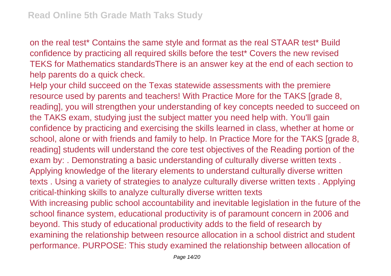on the real test\* Contains the same style and format as the real STAAR test\* Build confidence by practicing all required skills before the test\* Covers the new revised TEKS for Mathematics standardsThere is an answer key at the end of each section to help parents do a quick check.

Help your child succeed on the Texas statewide assessments with the premiere resource used by parents and teachers! With Practice More for the TAKS [grade 8, reading], you will strengthen your understanding of key concepts needed to succeed on the TAKS exam, studying just the subject matter you need help with. You'll gain confidence by practicing and exercising the skills learned in class, whether at home or school, alone or with friends and family to help. In Practice More for the TAKS [grade 8, reading] students will understand the core test objectives of the Reading portion of the exam by: . Demonstrating a basic understanding of culturally diverse written texts . Applying knowledge of the literary elements to understand culturally diverse written texts . Using a variety of strategies to analyze culturally diverse written texts . Applying critical-thinking skills to analyze culturally diverse written texts With increasing public school accountability and inevitable legislation in the future of the school finance system, educational productivity is of paramount concern in 2006 and beyond. This study of educational productivity adds to the field of research by examining the relationship between resource allocation in a school district and student performance. PURPOSE: This study examined the relationship between allocation of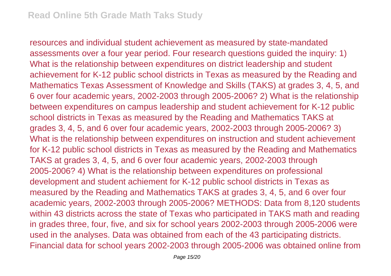resources and individual student achievement as measured by state-mandated assessments over a four year period. Four research questions guided the inquiry: 1) What is the relationship between expenditures on district leadership and student achievement for K-12 public school districts in Texas as measured by the Reading and Mathematics Texas Assessment of Knowledge and Skills (TAKS) at grades 3, 4, 5, and 6 over four academic years, 2002-2003 through 2005-2006? 2) What is the relationship between expenditures on campus leadership and student achievement for K-12 public school districts in Texas as measured by the Reading and Mathematics TAKS at grades 3, 4, 5, and 6 over four academic years, 2002-2003 through 2005-2006? 3) What is the relationship between expenditures on instruction and student achievement for K-12 public school districts in Texas as measured by the Reading and Mathematics TAKS at grades 3, 4, 5, and 6 over four academic years, 2002-2003 through 2005-2006? 4) What is the relationship between expenditures on professional development and student achiement for K-12 public school districts in Texas as measured by the Reading and Mathematics TAKS at grades 3, 4, 5, and 6 over four academic years, 2002-2003 through 2005-2006? METHODS: Data from 8,120 students within 43 districts across the state of Texas who participated in TAKS math and reading in grades three, four, five, and six for school years 2002-2003 through 2005-2006 were used in the analyses. Data was obtained from each of the 43 participating districts. Financial data for school years 2002-2003 through 2005-2006 was obtained online from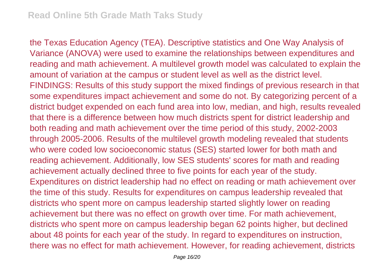the Texas Education Agency (TEA). Descriptive statistics and One Way Analysis of Variance (ANOVA) were used to examine the relationships between expenditures and reading and math achievement. A multilevel growth model was calculated to explain the amount of variation at the campus or student level as well as the district level. FINDINGS: Results of this study support the mixed findings of previous research in that some expenditures impact achievement and some do not. By categorizing percent of a district budget expended on each fund area into low, median, and high, results revealed that there is a difference between how much districts spent for district leadership and both reading and math achievement over the time period of this study, 2002-2003 through 2005-2006. Results of the multilevel growth modeling revealed that students who were coded low socioeconomic status (SES) started lower for both math and reading achievement. Additionally, low SES students' scores for math and reading achievement actually declined three to five points for each year of the study. Expenditures on district leadership had no effect on reading or math achievement over the time of this study. Results for expenditures on campus leadership revealed that districts who spent more on campus leadership started slightly lower on reading achievement but there was no effect on growth over time. For math achievement, districts who spent more on campus leadership began 62 points higher, but declined about 48 points for each year of the study. In regard to expenditures on instruction, there was no effect for math achievement. However, for reading achievement, districts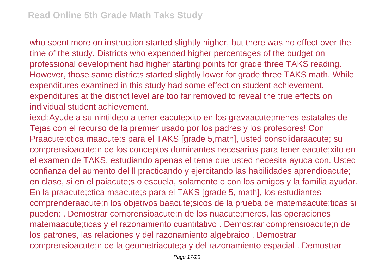who spent more on instruction started slightly higher, but there was no effect over the time of the study. Districts who expended higher percentages of the budget on professional development had higher starting points for grade three TAKS reading. However, those same districts started slightly lower for grade three TAKS math. While expenditures examined in this study had some effect on student achievement, expenditures at the district level are too far removed to reveal the true effects on individual student achievement.

iexcl;Ayude a su nintilde;o a tener eacute;xito en los gravaacute;menes estatales de Tejas con el recurso de la premier usado por los padres y los profesores! Con Praacute;ctica maacute;s para el TAKS [grade 5,math], usted consolidaraacute; su comprensioacute;n de los conceptos dominantes necesarios para tener eacute;xito en el examen de TAKS, estudiando apenas el tema que usted necesita ayuda con. Usted confianza del aumento del ll practicando y ejercitando las habilidades aprendioacute; en clase, si en el paiacute;s o escuela, solamente o con los amigos y la familia ayudar. En la praacute;ctica maacute;s para el TAKS [grade 5, math], los estudiantes comprenderaacute;n los objetivos baacute;sicos de la prueba de matemaacute;ticas si pueden: . Demostrar comprensioacute;n de los nuacute;meros, las operaciones matemaacute;ticas y el razonamiento cuantitativo . Demostrar comprensioacute;n de los patrones, las relaciones y del razonamiento algebraico . Demostrar comprensioacute;n de la geometriacute;a y del razonamiento espacial . Demostrar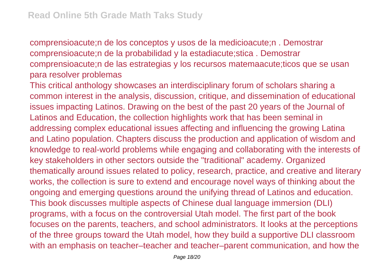comprensioacute;n de los conceptos y usos de la medicioacute;n . Demostrar comprensioacute;n de la probabilidad y la estadiacute;stica . Demostrar comprensioacute;n de las estrategias y los recursos matemaacute;ticos que se usan para resolver problemas

This critical anthology showcases an interdisciplinary forum of scholars sharing a common interest in the analysis, discussion, critique, and dissemination of educational issues impacting Latinos. Drawing on the best of the past 20 years of the Journal of Latinos and Education, the collection highlights work that has been seminal in addressing complex educational issues affecting and influencing the growing Latina and Latino population. Chapters discuss the production and application of wisdom and knowledge to real-world problems while engaging and collaborating with the interests of key stakeholders in other sectors outside the "traditional" academy. Organized thematically around issues related to policy, research, practice, and creative and literary works, the collection is sure to extend and encourage novel ways of thinking about the ongoing and emerging questions around the unifying thread of Latinos and education. This book discusses multiple aspects of Chinese dual language immersion (DLI) programs, with a focus on the controversial Utah model. The first part of the book focuses on the parents, teachers, and school administrators. It looks at the perceptions of the three groups toward the Utah model, how they build a supportive DLI classroom with an emphasis on teacher–teacher and teacher–parent communication, and how the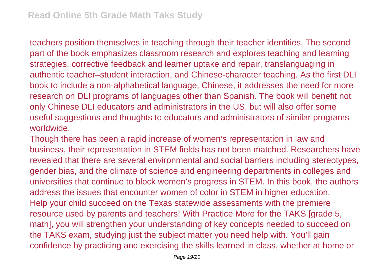teachers position themselves in teaching through their teacher identities. The second part of the book emphasizes classroom research and explores teaching and learning strategies, corrective feedback and learner uptake and repair, translanguaging in authentic teacher–student interaction, and Chinese-character teaching. As the first DLI book to include a non-alphabetical language, Chinese, it addresses the need for more research on DLI programs of languages other than Spanish. The book will benefit not only Chinese DLI educators and administrators in the US, but will also offer some useful suggestions and thoughts to educators and administrators of similar programs worldwide.

Though there has been a rapid increase of women's representation in law and business, their representation in STEM fields has not been matched. Researchers have revealed that there are several environmental and social barriers including stereotypes, gender bias, and the climate of science and engineering departments in colleges and universities that continue to block women's progress in STEM. In this book, the authors address the issues that encounter women of color in STEM in higher education. Help your child succeed on the Texas statewide assessments with the premiere resource used by parents and teachers! With Practice More for the TAKS [grade 5, math], you will strengthen your understanding of key concepts needed to succeed on the TAKS exam, studying just the subject matter you need help with. You'll gain confidence by practicing and exercising the skills learned in class, whether at home or